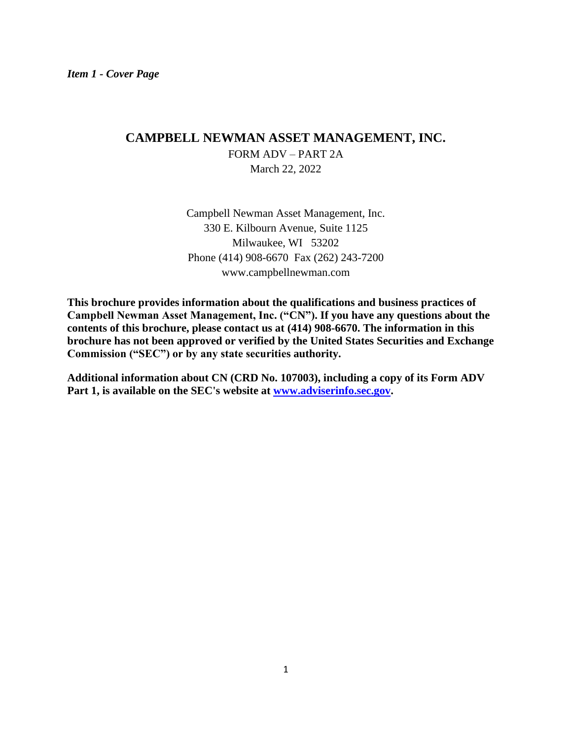# **CAMPBELL NEWMAN ASSET MANAGEMENT, INC.**  FORM ADV – PART 2A March 22, 2022

Campbell Newman Asset Management, Inc. 330 E. Kilbourn Avenue, Suite 1125 Milwaukee, WI 53202 Phone (414) 908-6670 Fax (262) 243-7200 www.campbellnewman.com

**This brochure provides information about the qualifications and business practices of Campbell Newman Asset Management, Inc. ("CN"). If you have any questions about the contents of this brochure, please contact us at (414) 908-6670. The information in this brochure has not been approved or verified by the United States Securities and Exchange Commission ("SEC") or by any state securities authority.**

**Additional information about CN (CRD No. 107003), including a copy of its Form ADV Part 1, is available on the SEC's website at [www.adviserinfo.sec.gov.](http://www.adviserinfo.sec.gov/)**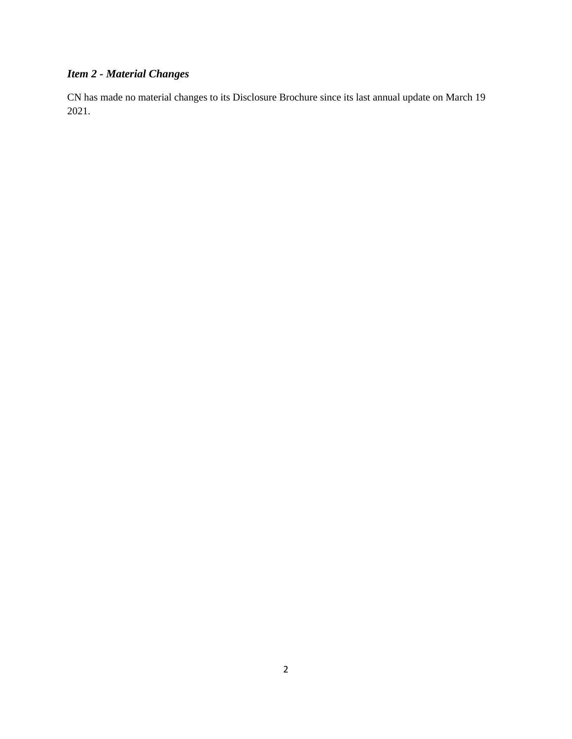# *Item 2 - Material Changes*

CN has made no material changes to its Disclosure Brochure since its last annual update on March 19 2021.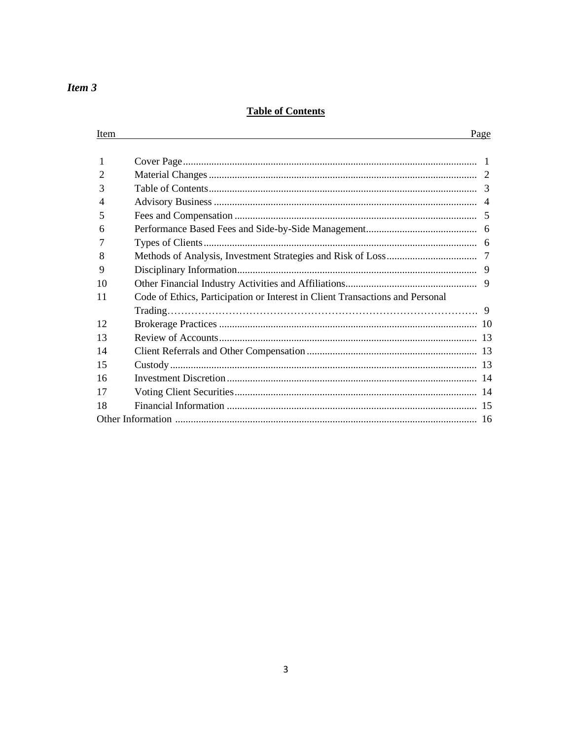# *Item 3*

Item

## **Table of Contents**

# Page

| 2  |                                                                               |    |
|----|-------------------------------------------------------------------------------|----|
| 3  |                                                                               |    |
| 4  |                                                                               |    |
| 5  |                                                                               | -5 |
| 6  |                                                                               |    |
|    |                                                                               |    |
| 8  |                                                                               |    |
| 9  |                                                                               |    |
| 10 |                                                                               | 9  |
| 11 | Code of Ethics, Participation or Interest in Client Transactions and Personal |    |
|    |                                                                               |    |
| 12 |                                                                               |    |
| 13 |                                                                               |    |
| 14 |                                                                               |    |
| 15 |                                                                               |    |
| 16 |                                                                               |    |
| 17 |                                                                               |    |
| 18 |                                                                               |    |
|    |                                                                               |    |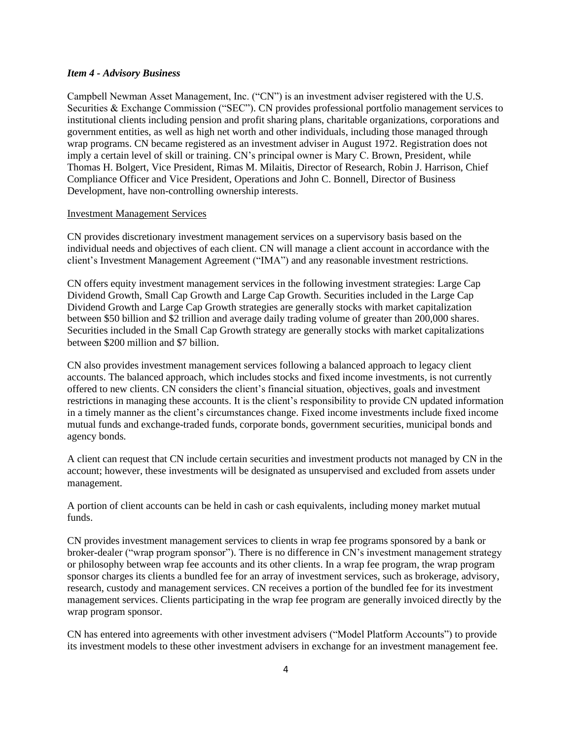#### *Item 4 - Advisory Business*

Campbell Newman Asset Management, Inc. ("CN") is an investment adviser registered with the U.S. Securities & Exchange Commission ("SEC"). CN provides professional portfolio management services to institutional clients including pension and profit sharing plans, charitable organizations, corporations and government entities, as well as high net worth and other individuals, including those managed through wrap programs. CN became registered as an investment adviser in August 1972. Registration does not imply a certain level of skill or training. CN's principal owner is Mary C. Brown, President, while Thomas H. Bolgert, Vice President, Rimas M. Milaitis, Director of Research, Robin J. Harrison, Chief Compliance Officer and Vice President, Operations and John C. Bonnell, Director of Business Development, have non-controlling ownership interests.

#### Investment Management Services

CN provides discretionary investment management services on a supervisory basis based on the individual needs and objectives of each client. CN will manage a client account in accordance with the client's Investment Management Agreement ("IMA") and any reasonable investment restrictions.

CN offers equity investment management services in the following investment strategies: Large Cap Dividend Growth, Small Cap Growth and Large Cap Growth. Securities included in the Large Cap Dividend Growth and Large Cap Growth strategies are generally stocks with market capitalization between \$50 billion and \$2 trillion and average daily trading volume of greater than 200,000 shares. Securities included in the Small Cap Growth strategy are generally stocks with market capitalizations between \$200 million and \$7 billion.

CN also provides investment management services following a balanced approach to legacy client accounts. The balanced approach, which includes stocks and fixed income investments, is not currently offered to new clients. CN considers the client's financial situation, objectives, goals and investment restrictions in managing these accounts. It is the client's responsibility to provide CN updated information in a timely manner as the client's circumstances change. Fixed income investments include fixed income mutual funds and exchange-traded funds, corporate bonds, government securities, municipal bonds and agency bonds.

A client can request that CN include certain securities and investment products not managed by CN in the account; however, these investments will be designated as unsupervised and excluded from assets under management.

A portion of client accounts can be held in cash or cash equivalents, including money market mutual funds.

CN provides investment management services to clients in wrap fee programs sponsored by a bank or broker-dealer ("wrap program sponsor"). There is no difference in CN's investment management strategy or philosophy between wrap fee accounts and its other clients. In a wrap fee program, the wrap program sponsor charges its clients a bundled fee for an array of investment services, such as brokerage, advisory, research, custody and management services. CN receives a portion of the bundled fee for its investment management services. Clients participating in the wrap fee program are generally invoiced directly by the wrap program sponsor.

CN has entered into agreements with other investment advisers ("Model Platform Accounts") to provide its investment models to these other investment advisers in exchange for an investment management fee.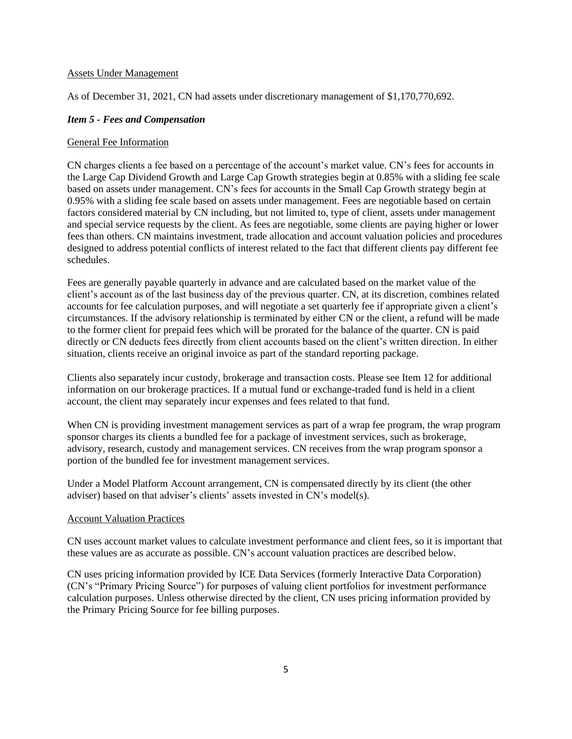#### Assets Under Management

As of December 31, 2021, CN had assets under discretionary management of \$1,170,770,692.

#### *Item 5 - Fees and Compensation*

#### General Fee Information

CN charges clients a fee based on a percentage of the account's market value. CN's fees for accounts in the Large Cap Dividend Growth and Large Cap Growth strategies begin at 0.85% with a sliding fee scale based on assets under management. CN's fees for accounts in the Small Cap Growth strategy begin at 0.95% with a sliding fee scale based on assets under management. Fees are negotiable based on certain factors considered material by CN including, but not limited to, type of client, assets under management and special service requests by the client. As fees are negotiable, some clients are paying higher or lower fees than others. CN maintains investment, trade allocation and account valuation policies and procedures designed to address potential conflicts of interest related to the fact that different clients pay different fee schedules.

Fees are generally payable quarterly in advance and are calculated based on the market value of the client's account as of the last business day of the previous quarter. CN, at its discretion, combines related accounts for fee calculation purposes, and will negotiate a set quarterly fee if appropriate given a client's circumstances. If the advisory relationship is terminated by either CN or the client, a refund will be made to the former client for prepaid fees which will be prorated for the balance of the quarter. CN is paid directly or CN deducts fees directly from client accounts based on the client's written direction. In either situation, clients receive an original invoice as part of the standard reporting package.

Clients also separately incur custody, brokerage and transaction costs. Please see Item 12 for additional information on our brokerage practices. If a mutual fund or exchange-traded fund is held in a client account, the client may separately incur expenses and fees related to that fund.

When CN is providing investment management services as part of a wrap fee program, the wrap program sponsor charges its clients a bundled fee for a package of investment services, such as brokerage, advisory, research, custody and management services. CN receives from the wrap program sponsor a portion of the bundled fee for investment management services.

Under a Model Platform Account arrangement, CN is compensated directly by its client (the other adviser) based on that adviser's clients' assets invested in CN's model(s).

#### Account Valuation Practices

CN uses account market values to calculate investment performance and client fees, so it is important that these values are as accurate as possible. CN's account valuation practices are described below.

CN uses pricing information provided by ICE Data Services (formerly Interactive Data Corporation) (CN's "Primary Pricing Source") for purposes of valuing client portfolios for investment performance calculation purposes. Unless otherwise directed by the client, CN uses pricing information provided by the Primary Pricing Source for fee billing purposes.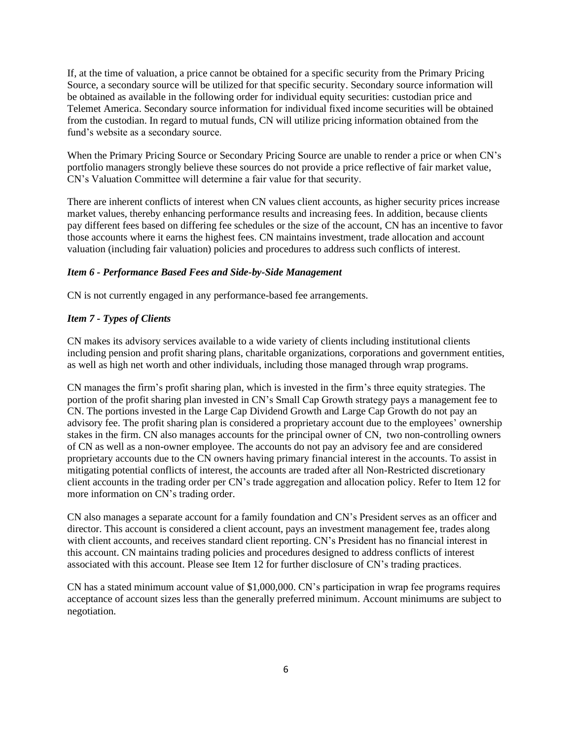If, at the time of valuation, a price cannot be obtained for a specific security from the Primary Pricing Source, a secondary source will be utilized for that specific security. Secondary source information will be obtained as available in the following order for individual equity securities: custodian price and Telemet America. Secondary source information for individual fixed income securities will be obtained from the custodian. In regard to mutual funds, CN will utilize pricing information obtained from the fund's website as a secondary source.

When the Primary Pricing Source or Secondary Pricing Source are unable to render a price or when CN's portfolio managers strongly believe these sources do not provide a price reflective of fair market value, CN's Valuation Committee will determine a fair value for that security.

There are inherent conflicts of interest when CN values client accounts, as higher security prices increase market values, thereby enhancing performance results and increasing fees. In addition, because clients pay different fees based on differing fee schedules or the size of the account, CN has an incentive to favor those accounts where it earns the highest fees. CN maintains investment, trade allocation and account valuation (including fair valuation) policies and procedures to address such conflicts of interest.

### *Item 6 - Performance Based Fees and Side-by-Side Management*

CN is not currently engaged in any performance-based fee arrangements.

#### *Item 7 - Types of Clients*

CN makes its advisory services available to a wide variety of clients including institutional clients including pension and profit sharing plans, charitable organizations, corporations and government entities, as well as high net worth and other individuals, including those managed through wrap programs.

CN manages the firm's profit sharing plan, which is invested in the firm's three equity strategies. The portion of the profit sharing plan invested in CN's Small Cap Growth strategy pays a management fee to CN. The portions invested in the Large Cap Dividend Growth and Large Cap Growth do not pay an advisory fee. The profit sharing plan is considered a proprietary account due to the employees' ownership stakes in the firm. CN also manages accounts for the principal owner of CN, two non-controlling owners of CN as well as a non-owner employee. The accounts do not pay an advisory fee and are considered proprietary accounts due to the CN owners having primary financial interest in the accounts. To assist in mitigating potential conflicts of interest, the accounts are traded after all Non-Restricted discretionary client accounts in the trading order per CN's trade aggregation and allocation policy. Refer to Item 12 for more information on CN's trading order.

CN also manages a separate account for a family foundation and CN's President serves as an officer and director. This account is considered a client account, pays an investment management fee, trades along with client accounts, and receives standard client reporting. CN's President has no financial interest in this account. CN maintains trading policies and procedures designed to address conflicts of interest associated with this account. Please see Item 12 for further disclosure of CN's trading practices.

CN has a stated minimum account value of \$1,000,000. CN's participation in wrap fee programs requires acceptance of account sizes less than the generally preferred minimum. Account minimums are subject to negotiation.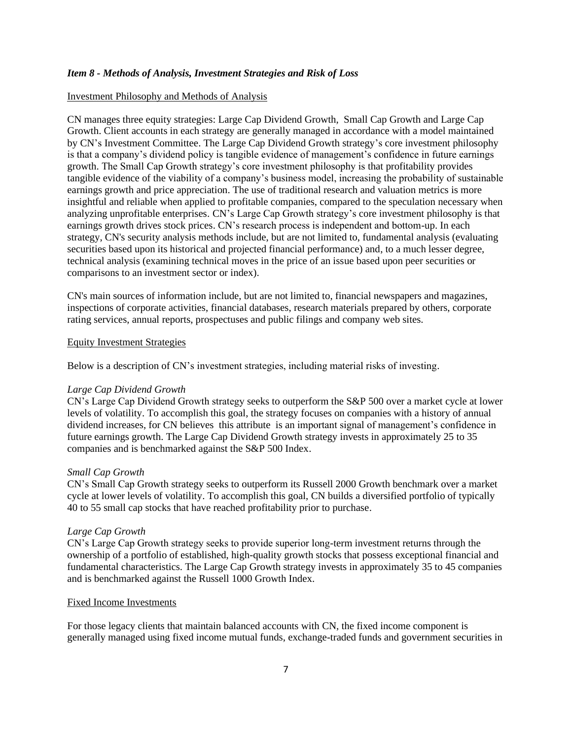#### *Item 8 - Methods of Analysis, Investment Strategies and Risk of Loss*

#### Investment Philosophy and Methods of Analysis

CN manages three equity strategies: Large Cap Dividend Growth, Small Cap Growth and Large Cap Growth. Client accounts in each strategy are generally managed in accordance with a model maintained by CN's Investment Committee. The Large Cap Dividend Growth strategy's core investment philosophy is that a company's dividend policy is tangible evidence of management's confidence in future earnings growth. The Small Cap Growth strategy's core investment philosophy is that profitability provides tangible evidence of the viability of a company's business model, increasing the probability of sustainable earnings growth and price appreciation. The use of traditional research and valuation metrics is more insightful and reliable when applied to profitable companies, compared to the speculation necessary when analyzing unprofitable enterprises. CN's Large Cap Growth strategy's core investment philosophy is that earnings growth drives stock prices. CN's research process is independent and bottom-up. In each strategy, CN's security analysis methods include, but are not limited to, fundamental analysis (evaluating securities based upon its historical and projected financial performance) and, to a much lesser degree, technical analysis (examining technical moves in the price of an issue based upon peer securities or comparisons to an investment sector or index).

CN's main sources of information include, but are not limited to, financial newspapers and magazines, inspections of corporate activities, financial databases, research materials prepared by others, corporate rating services, annual reports, prospectuses and public filings and company web sites.

#### Equity Investment Strategies

Below is a description of CN's investment strategies, including material risks of investing.

#### *Large Cap Dividend Growth*

CN's Large Cap Dividend Growth strategy seeks to outperform the S&P 500 over a market cycle at lower levels of volatility. To accomplish this goal, the strategy focuses on companies with a history of annual dividend increases, for CN believes this attribute is an important signal of management's confidence in future earnings growth. The Large Cap Dividend Growth strategy invests in approximately 25 to 35 companies and is benchmarked against the S&P 500 Index.

#### *Small Cap Growth*

CN's Small Cap Growth strategy seeks to outperform its Russell 2000 Growth benchmark over a market cycle at lower levels of volatility. To accomplish this goal, CN builds a diversified portfolio of typically 40 to 55 small cap stocks that have reached profitability prior to purchase.

#### *Large Cap Growth*

CN's Large Cap Growth strategy seeks to provide superior long-term investment returns through the ownership of a portfolio of established, high-quality growth stocks that possess exceptional financial and fundamental characteristics. The Large Cap Growth strategy invests in approximately 35 to 45 companies and is benchmarked against the Russell 1000 Growth Index.

#### Fixed Income Investments

For those legacy clients that maintain balanced accounts with CN, the fixed income component is generally managed using fixed income mutual funds, exchange-traded funds and government securities in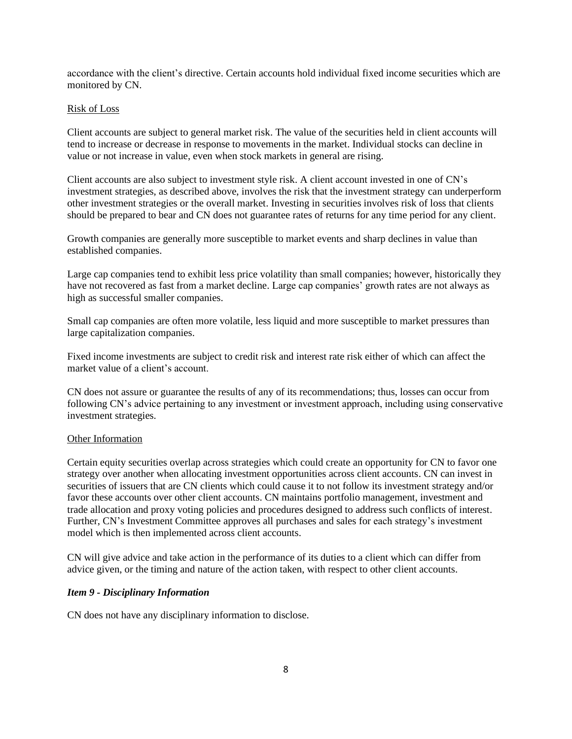accordance with the client's directive. Certain accounts hold individual fixed income securities which are monitored by CN.

#### Risk of Loss

Client accounts are subject to general market risk. The value of the securities held in client accounts will tend to increase or decrease in response to movements in the market. Individual stocks can decline in value or not increase in value, even when stock markets in general are rising.

Client accounts are also subject to investment style risk. A client account invested in one of CN's investment strategies, as described above, involves the risk that the investment strategy can underperform other investment strategies or the overall market. Investing in securities involves risk of loss that clients should be prepared to bear and CN does not guarantee rates of returns for any time period for any client.

Growth companies are generally more susceptible to market events and sharp declines in value than established companies.

Large cap companies tend to exhibit less price volatility than small companies; however, historically they have not recovered as fast from a market decline. Large cap companies' growth rates are not always as high as successful smaller companies.

Small cap companies are often more volatile, less liquid and more susceptible to market pressures than large capitalization companies.

Fixed income investments are subject to credit risk and interest rate risk either of which can affect the market value of a client's account.

CN does not assure or guarantee the results of any of its recommendations; thus, losses can occur from following CN's advice pertaining to any investment or investment approach, including using conservative investment strategies.

#### Other Information

Certain equity securities overlap across strategies which could create an opportunity for CN to favor one strategy over another when allocating investment opportunities across client accounts. CN can invest in securities of issuers that are CN clients which could cause it to not follow its investment strategy and/or favor these accounts over other client accounts. CN maintains portfolio management, investment and trade allocation and proxy voting policies and procedures designed to address such conflicts of interest. Further, CN's Investment Committee approves all purchases and sales for each strategy's investment model which is then implemented across client accounts.

CN will give advice and take action in the performance of its duties to a client which can differ from advice given, or the timing and nature of the action taken, with respect to other client accounts.

#### *Item 9 - Disciplinary Information*

CN does not have any disciplinary information to disclose.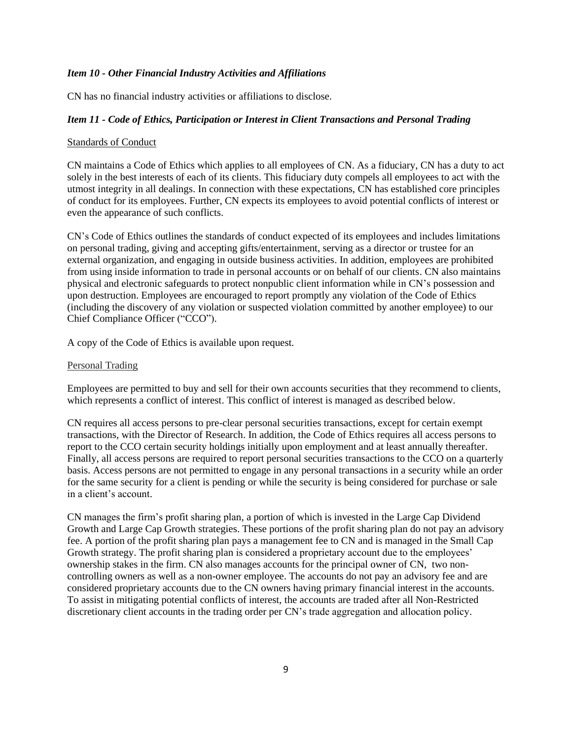#### *Item 10 - Other Financial Industry Activities and Affiliations*

CN has no financial industry activities or affiliations to disclose.

### *Item 11 - Code of Ethics, Participation or Interest in Client Transactions and Personal Trading*

#### Standards of Conduct

CN maintains a Code of Ethics which applies to all employees of CN. As a fiduciary, CN has a duty to act solely in the best interests of each of its clients. This fiduciary duty compels all employees to act with the utmost integrity in all dealings. In connection with these expectations, CN has established core principles of conduct for its employees. Further, CN expects its employees to avoid potential conflicts of interest or even the appearance of such conflicts.

CN's Code of Ethics outlines the standards of conduct expected of its employees and includes limitations on personal trading, giving and accepting gifts/entertainment, serving as a director or trustee for an external organization, and engaging in outside business activities. In addition, employees are prohibited from using inside information to trade in personal accounts or on behalf of our clients. CN also maintains physical and electronic safeguards to protect nonpublic client information while in CN's possession and upon destruction. Employees are encouraged to report promptly any violation of the Code of Ethics (including the discovery of any violation or suspected violation committed by another employee) to our Chief Compliance Officer ("CCO").

A copy of the Code of Ethics is available upon request.

#### Personal Trading

Employees are permitted to buy and sell for their own accounts securities that they recommend to clients, which represents a conflict of interest. This conflict of interest is managed as described below.

CN requires all access persons to pre-clear personal securities transactions, except for certain exempt transactions, with the Director of Research. In addition, the Code of Ethics requires all access persons to report to the CCO certain security holdings initially upon employment and at least annually thereafter. Finally, all access persons are required to report personal securities transactions to the CCO on a quarterly basis. Access persons are not permitted to engage in any personal transactions in a security while an order for the same security for a client is pending or while the security is being considered for purchase or sale in a client's account.

CN manages the firm's profit sharing plan, a portion of which is invested in the Large Cap Dividend Growth and Large Cap Growth strategies. These portions of the profit sharing plan do not pay an advisory fee. A portion of the profit sharing plan pays a management fee to CN and is managed in the Small Cap Growth strategy. The profit sharing plan is considered a proprietary account due to the employees' ownership stakes in the firm. CN also manages accounts for the principal owner of CN, two noncontrolling owners as well as a non-owner employee. The accounts do not pay an advisory fee and are considered proprietary accounts due to the CN owners having primary financial interest in the accounts. To assist in mitigating potential conflicts of interest, the accounts are traded after all Non-Restricted discretionary client accounts in the trading order per CN's trade aggregation and allocation policy.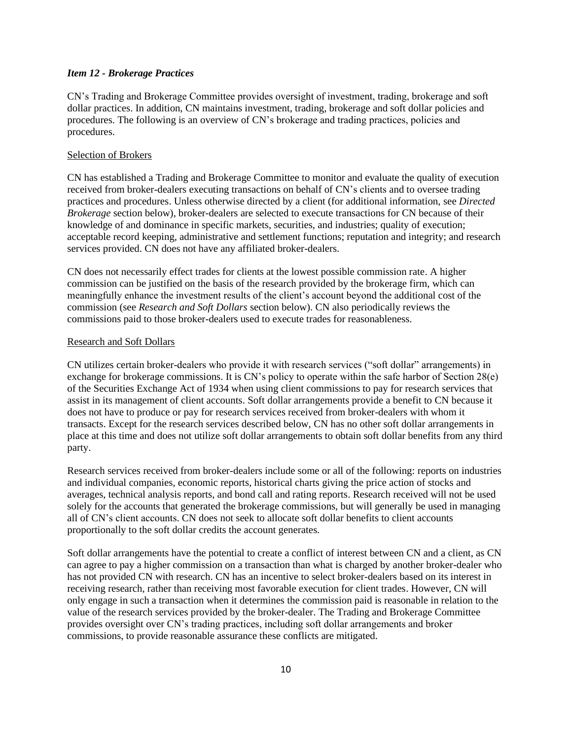#### *Item 12 - Brokerage Practices*

CN's Trading and Brokerage Committee provides oversight of investment, trading, brokerage and soft dollar practices. In addition, CN maintains investment, trading, brokerage and soft dollar policies and procedures. The following is an overview of CN's brokerage and trading practices, policies and procedures.

#### Selection of Brokers

CN has established a Trading and Brokerage Committee to monitor and evaluate the quality of execution received from broker-dealers executing transactions on behalf of CN's clients and to oversee trading practices and procedures. Unless otherwise directed by a client (for additional information, see *Directed Brokerage* section below), broker-dealers are selected to execute transactions for CN because of their knowledge of and dominance in specific markets, securities, and industries; quality of execution; acceptable record keeping, administrative and settlement functions; reputation and integrity; and research services provided. CN does not have any affiliated broker-dealers.

CN does not necessarily effect trades for clients at the lowest possible commission rate. A higher commission can be justified on the basis of the research provided by the brokerage firm, which can meaningfully enhance the investment results of the client's account beyond the additional cost of the commission (see *Research and Soft Dollars* section below). CN also periodically reviews the commissions paid to those broker-dealers used to execute trades for reasonableness.

#### Research and Soft Dollars

CN utilizes certain broker-dealers who provide it with research services ("soft dollar" arrangements) in exchange for brokerage commissions. It is CN's policy to operate within the safe harbor of Section 28(e) of the Securities Exchange Act of 1934 when using client commissions to pay for research services that assist in its management of client accounts. Soft dollar arrangements provide a benefit to CN because it does not have to produce or pay for research services received from broker-dealers with whom it transacts. Except for the research services described below, CN has no other soft dollar arrangements in place at this time and does not utilize soft dollar arrangements to obtain soft dollar benefits from any third party.

Research services received from broker-dealers include some or all of the following: reports on industries and individual companies, economic reports, historical charts giving the price action of stocks and averages, technical analysis reports, and bond call and rating reports. Research received will not be used solely for the accounts that generated the brokerage commissions, but will generally be used in managing all of CN's client accounts. CN does not seek to allocate soft dollar benefits to client accounts proportionally to the soft dollar credits the account generates.

Soft dollar arrangements have the potential to create a conflict of interest between CN and a client, as CN can agree to pay a higher commission on a transaction than what is charged by another broker-dealer who has not provided CN with research. CN has an incentive to select broker-dealers based on its interest in receiving research, rather than receiving most favorable execution for client trades. However, CN will only engage in such a transaction when it determines the commission paid is reasonable in relation to the value of the research services provided by the broker-dealer. The Trading and Brokerage Committee provides oversight over CN's trading practices, including soft dollar arrangements and broker commissions, to provide reasonable assurance these conflicts are mitigated.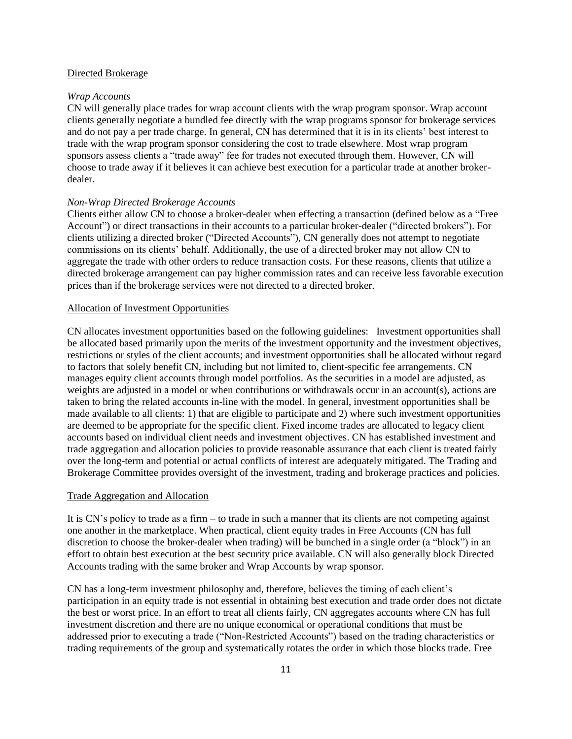#### Directed Brokerage

#### *Wrap Accounts*

CN will generally place trades for wrap account clients with the wrap program sponsor. Wrap account clients generally negotiate a bundled fee directly with the wrap programs sponsor for brokerage services and do not pay a per trade charge. In general, CN has determined that it is in its clients' best interest to trade with the wrap program sponsor considering the cost to trade elsewhere. Most wrap program sponsors assess clients a "trade away" fee for trades not executed through them. However, CN will choose to trade away if it believes it can achieve best execution for a particular trade at another brokerdealer.

#### *Non-Wrap Directed Brokerage Accounts*

Clients either allow CN to choose a broker-dealer when effecting a transaction (defined below as a "Free Account") or direct transactions in their accounts to a particular broker-dealer ("directed brokers"). For clients utilizing a directed broker ("Directed Accounts"), CN generally does not attempt to negotiate commissions on its clients' behalf. Additionally, the use of a directed broker may not allow CN to aggregate the trade with other orders to reduce transaction costs. For these reasons, clients that utilize a directed brokerage arrangement can pay higher commission rates and can receive less favorable execution prices than if the brokerage services were not directed to a directed broker.

#### Allocation of Investment Opportunities

CN allocates investment opportunities based on the following guidelines: Investment opportunities shall be allocated based primarily upon the merits of the investment opportunity and the investment objectives, restrictions or styles of the client accounts; and investment opportunities shall be allocated without regard to factors that solely benefit CN, including but not limited to, client-specific fee arrangements. CN manages equity client accounts through model portfolios. As the securities in a model are adjusted, as weights are adjusted in a model or when contributions or withdrawals occur in an account(s), actions are taken to bring the related accounts in-line with the model. In general, investment opportunities shall be made available to all clients: 1) that are eligible to participate and 2) where such investment opportunities are deemed to be appropriate for the specific client. Fixed income trades are allocated to legacy client accounts based on individual client needs and investment objectives. CN has established investment and trade aggregation and allocation policies to provide reasonable assurance that each client is treated fairly over the long-term and potential or actual conflicts of interest are adequately mitigated. The Trading and Brokerage Committee provides oversight of the investment, trading and brokerage practices and policies.

#### Trade Aggregation and Allocation

It is CN's policy to trade as a firm – to trade in such a manner that its clients are not competing against one another in the marketplace. When practical, client equity trades in Free Accounts (CN has full discretion to choose the broker-dealer when trading) will be bunched in a single order (a "block") in an effort to obtain best execution at the best security price available. CN will also generally block Directed Accounts trading with the same broker and Wrap Accounts by wrap sponsor.

CN has a long-term investment philosophy and, therefore, believes the timing of each client's participation in an equity trade is not essential in obtaining best execution and trade order does not dictate the best or worst price. In an effort to treat all clients fairly, CN aggregates accounts where CN has full investment discretion and there are no unique economical or operational conditions that must be addressed prior to executing a trade ("Non-Restricted Accounts") based on the trading characteristics or trading requirements of the group and systematically rotates the order in which those blocks trade. Free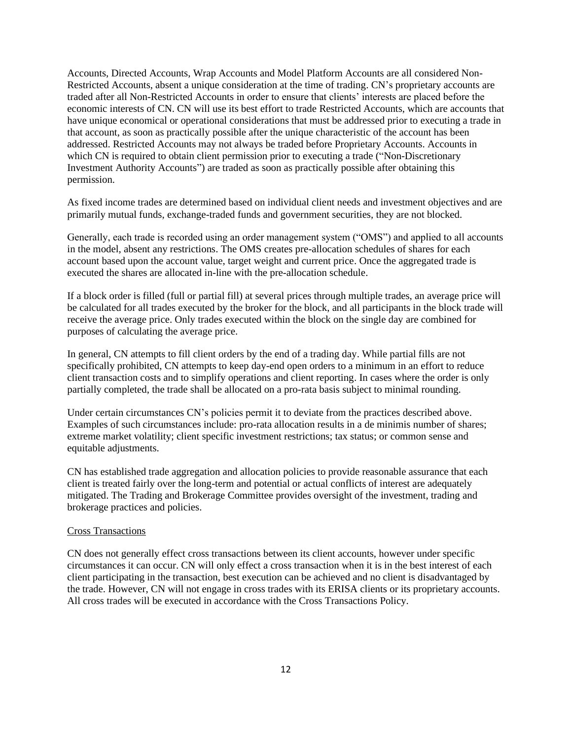Accounts, Directed Accounts, Wrap Accounts and Model Platform Accounts are all considered Non-Restricted Accounts, absent a unique consideration at the time of trading. CN's proprietary accounts are traded after all Non-Restricted Accounts in order to ensure that clients' interests are placed before the economic interests of CN. CN will use its best effort to trade Restricted Accounts, which are accounts that have unique economical or operational considerations that must be addressed prior to executing a trade in that account, as soon as practically possible after the unique characteristic of the account has been addressed. Restricted Accounts may not always be traded before Proprietary Accounts. Accounts in which CN is required to obtain client permission prior to executing a trade ("Non-Discretionary") Investment Authority Accounts") are traded as soon as practically possible after obtaining this permission.

As fixed income trades are determined based on individual client needs and investment objectives and are primarily mutual funds, exchange-traded funds and government securities, they are not blocked.

Generally, each trade is recorded using an order management system ("OMS") and applied to all accounts in the model, absent any restrictions. The OMS creates pre-allocation schedules of shares for each account based upon the account value, target weight and current price. Once the aggregated trade is executed the shares are allocated in-line with the pre-allocation schedule.

If a block order is filled (full or partial fill) at several prices through multiple trades, an average price will be calculated for all trades executed by the broker for the block, and all participants in the block trade will receive the average price. Only trades executed within the block on the single day are combined for purposes of calculating the average price.

In general, CN attempts to fill client orders by the end of a trading day. While partial fills are not specifically prohibited, CN attempts to keep day-end open orders to a minimum in an effort to reduce client transaction costs and to simplify operations and client reporting. In cases where the order is only partially completed, the trade shall be allocated on a pro-rata basis subject to minimal rounding.

Under certain circumstances CN's policies permit it to deviate from the practices described above. Examples of such circumstances include: pro-rata allocation results in a de minimis number of shares; extreme market volatility; client specific investment restrictions; tax status; or common sense and equitable adjustments.

CN has established trade aggregation and allocation policies to provide reasonable assurance that each client is treated fairly over the long-term and potential or actual conflicts of interest are adequately mitigated. The Trading and Brokerage Committee provides oversight of the investment, trading and brokerage practices and policies.

#### Cross Transactions

CN does not generally effect cross transactions between its client accounts, however under specific circumstances it can occur. CN will only effect a cross transaction when it is in the best interest of each client participating in the transaction, best execution can be achieved and no client is disadvantaged by the trade. However, CN will not engage in cross trades with its ERISA clients or its proprietary accounts. All cross trades will be executed in accordance with the Cross Transactions Policy.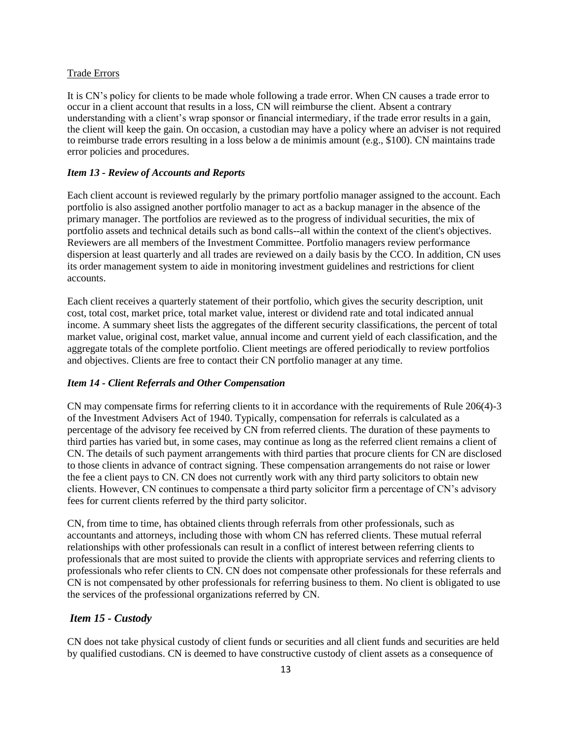#### Trade Errors

It is CN's policy for clients to be made whole following a trade error. When CN causes a trade error to occur in a client account that results in a loss, CN will reimburse the client. Absent a contrary understanding with a client's wrap sponsor or financial intermediary, if the trade error results in a gain, the client will keep the gain. On occasion, a custodian may have a policy where an adviser is not required to reimburse trade errors resulting in a loss below a de minimis amount (e.g., \$100). CN maintains trade error policies and procedures.

#### *Item 13 - Review of Accounts and Reports*

Each client account is reviewed regularly by the primary portfolio manager assigned to the account. Each portfolio is also assigned another portfolio manager to act as a backup manager in the absence of the primary manager. The portfolios are reviewed as to the progress of individual securities, the mix of portfolio assets and technical details such as bond calls--all within the context of the client's objectives. Reviewers are all members of the Investment Committee. Portfolio managers review performance dispersion at least quarterly and all trades are reviewed on a daily basis by the CCO. In addition, CN uses its order management system to aide in monitoring investment guidelines and restrictions for client accounts.

Each client receives a quarterly statement of their portfolio, which gives the security description, unit cost, total cost, market price, total market value, interest or dividend rate and total indicated annual income. A summary sheet lists the aggregates of the different security classifications, the percent of total market value, original cost, market value, annual income and current yield of each classification, and the aggregate totals of the complete portfolio. Client meetings are offered periodically to review portfolios and objectives. Clients are free to contact their CN portfolio manager at any time.

#### *Item 14 - Client Referrals and Other Compensation*

CN may compensate firms for referring clients to it in accordance with the requirements of Rule 206(4)-3 of the Investment Advisers Act of 1940. Typically, compensation for referrals is calculated as a percentage of the advisory fee received by CN from referred clients. The duration of these payments to third parties has varied but, in some cases, may continue as long as the referred client remains a client of CN. The details of such payment arrangements with third parties that procure clients for CN are disclosed to those clients in advance of contract signing. These compensation arrangements do not raise or lower the fee a client pays to CN. CN does not currently work with any third party solicitors to obtain new clients. However, CN continues to compensate a third party solicitor firm a percentage of CN's advisory fees for current clients referred by the third party solicitor.

CN, from time to time, has obtained clients through referrals from other professionals, such as accountants and attorneys, including those with whom CN has referred clients. These mutual referral relationships with other professionals can result in a conflict of interest between referring clients to professionals that are most suited to provide the clients with appropriate services and referring clients to professionals who refer clients to CN. CN does not compensate other professionals for these referrals and CN is not compensated by other professionals for referring business to them. No client is obligated to use the services of the professional organizations referred by CN.

#### *Item 15 - Custody*

CN does not take physical custody of client funds or securities and all client funds and securities are held by qualified custodians. CN is deemed to have constructive custody of client assets as a consequence of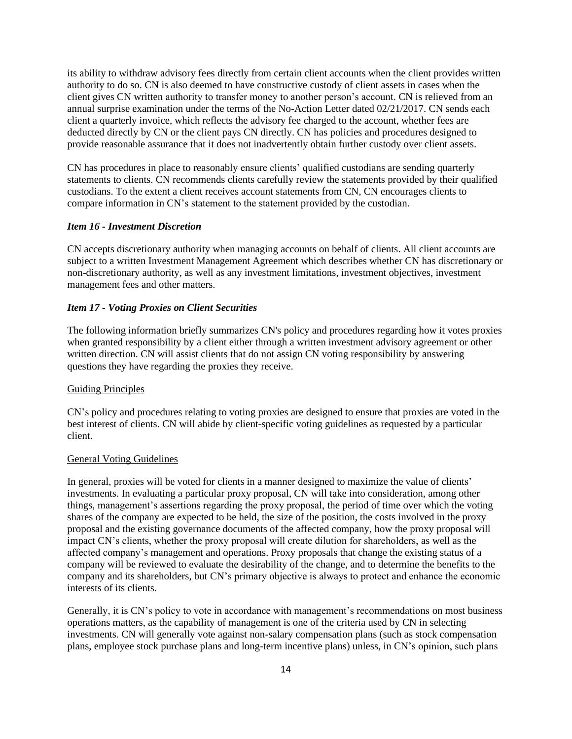its ability to withdraw advisory fees directly from certain client accounts when the client provides written authority to do so. CN is also deemed to have constructive custody of client assets in cases when the client gives CN written authority to transfer money to another person's account. CN is relieved from an annual surprise examination under the terms of the No-Action Letter dated 02/21/2017. CN sends each client a quarterly invoice, which reflects the advisory fee charged to the account, whether fees are deducted directly by CN or the client pays CN directly. CN has policies and procedures designed to provide reasonable assurance that it does not inadvertently obtain further custody over client assets.

CN has procedures in place to reasonably ensure clients' qualified custodians are sending quarterly statements to clients. CN recommends clients carefully review the statements provided by their qualified custodians. To the extent a client receives account statements from CN, CN encourages clients to compare information in CN's statement to the statement provided by the custodian.

#### *Item 16 - Investment Discretion*

CN accepts discretionary authority when managing accounts on behalf of clients. All client accounts are subject to a written Investment Management Agreement which describes whether CN has discretionary or non-discretionary authority, as well as any investment limitations, investment objectives, investment management fees and other matters.

#### *Item 17 - Voting Proxies on Client Securities*

The following information briefly summarizes CN's policy and procedures regarding how it votes proxies when granted responsibility by a client either through a written investment advisory agreement or other written direction. CN will assist clients that do not assign CN voting responsibility by answering questions they have regarding the proxies they receive.

#### Guiding Principles

CN's policy and procedures relating to voting proxies are designed to ensure that proxies are voted in the best interest of clients. CN will abide by client-specific voting guidelines as requested by a particular client.

#### General Voting Guidelines

In general, proxies will be voted for clients in a manner designed to maximize the value of clients' investments. In evaluating a particular proxy proposal, CN will take into consideration, among other things, management's assertions regarding the proxy proposal, the period of time over which the voting shares of the company are expected to be held, the size of the position, the costs involved in the proxy proposal and the existing governance documents of the affected company, how the proxy proposal will impact CN's clients, whether the proxy proposal will create dilution for shareholders, as well as the affected company's management and operations. Proxy proposals that change the existing status of a company will be reviewed to evaluate the desirability of the change, and to determine the benefits to the company and its shareholders, but CN's primary objective is always to protect and enhance the economic interests of its clients.

Generally, it is CN's policy to vote in accordance with management's recommendations on most business operations matters, as the capability of management is one of the criteria used by CN in selecting investments. CN will generally vote against non-salary compensation plans (such as stock compensation plans, employee stock purchase plans and long-term incentive plans) unless, in CN's opinion, such plans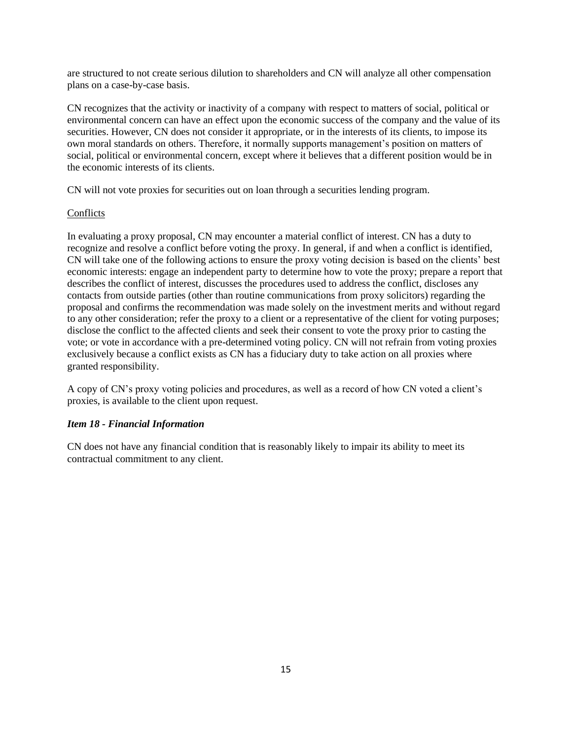are structured to not create serious dilution to shareholders and CN will analyze all other compensation plans on a case-by-case basis.

CN recognizes that the activity or inactivity of a company with respect to matters of social, political or environmental concern can have an effect upon the economic success of the company and the value of its securities. However, CN does not consider it appropriate, or in the interests of its clients, to impose its own moral standards on others. Therefore, it normally supports management's position on matters of social, political or environmental concern, except where it believes that a different position would be in the economic interests of its clients.

CN will not vote proxies for securities out on loan through a securities lending program.

#### Conflicts

In evaluating a proxy proposal, CN may encounter a material conflict of interest. CN has a duty to recognize and resolve a conflict before voting the proxy. In general, if and when a conflict is identified, CN will take one of the following actions to ensure the proxy voting decision is based on the clients' best economic interests: engage an independent party to determine how to vote the proxy; prepare a report that describes the conflict of interest, discusses the procedures used to address the conflict, discloses any contacts from outside parties (other than routine communications from proxy solicitors) regarding the proposal and confirms the recommendation was made solely on the investment merits and without regard to any other consideration; refer the proxy to a client or a representative of the client for voting purposes; disclose the conflict to the affected clients and seek their consent to vote the proxy prior to casting the vote; or vote in accordance with a pre-determined voting policy. CN will not refrain from voting proxies exclusively because a conflict exists as CN has a fiduciary duty to take action on all proxies where granted responsibility.

A copy of CN's proxy voting policies and procedures, as well as a record of how CN voted a client's proxies, is available to the client upon request.

### *Item 18 - Financial Information*

CN does not have any financial condition that is reasonably likely to impair its ability to meet its contractual commitment to any client.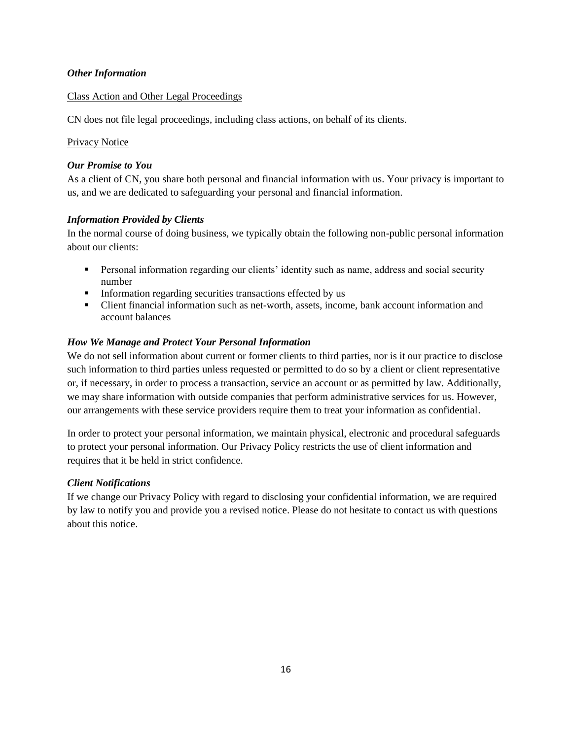### *Other Information*

### Class Action and Other Legal Proceedings

CN does not file legal proceedings, including class actions, on behalf of its clients.

### Privacy Notice

### *Our Promise to You*

As a client of CN, you share both personal and financial information with us. Your privacy is important to us, and we are dedicated to safeguarding your personal and financial information.

### *Information Provided by Clients*

In the normal course of doing business, we typically obtain the following non-public personal information about our clients:

- **•** Personal information regarding our clients' identity such as name, address and social security number
- **•** Information regarding securities transactions effected by us
- Client financial information such as net-worth, assets, income, bank account information and account balances

### *How We Manage and Protect Your Personal Information*

We do not sell information about current or former clients to third parties, nor is it our practice to disclose such information to third parties unless requested or permitted to do so by a client or client representative or, if necessary, in order to process a transaction, service an account or as permitted by law. Additionally, we may share information with outside companies that perform administrative services for us. However, our arrangements with these service providers require them to treat your information as confidential.

In order to protect your personal information, we maintain physical, electronic and procedural safeguards to protect your personal information. Our Privacy Policy restricts the use of client information and requires that it be held in strict confidence.

### *Client Notifications*

If we change our Privacy Policy with regard to disclosing your confidential information, we are required by law to notify you and provide you a revised notice. Please do not hesitate to contact us with questions about this notice.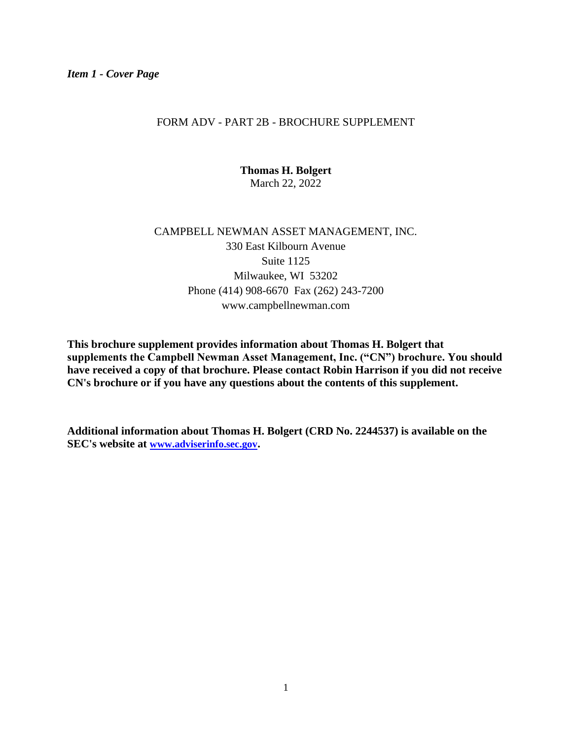### FORM ADV - PART 2B - BROCHURE SUPPLEMENT

**Thomas H. Bolgert** March 22, 2022

# CAMPBELL NEWMAN ASSET MANAGEMENT, INC. 330 East Kilbourn Avenue Suite 1125 Milwaukee, WI 53202 Phone (414) 908-6670 Fax (262) 243-7200 www.campbellnewman.com

**This brochure supplement provides information about Thomas H. Bolgert that supplements the Campbell Newman Asset Management, Inc. ("CN") brochure. You should have received a copy of that brochure. Please contact Robin Harrison if you did not receive CN's brochure or if you have any questions about the contents of this supplement.**

**Additional information about Thomas H. Bolgert (CRD No. 2244537) is available on the SEC's website at [www.adviserinfo.sec.gov](http://www.adviserinfo.sec.gov/).**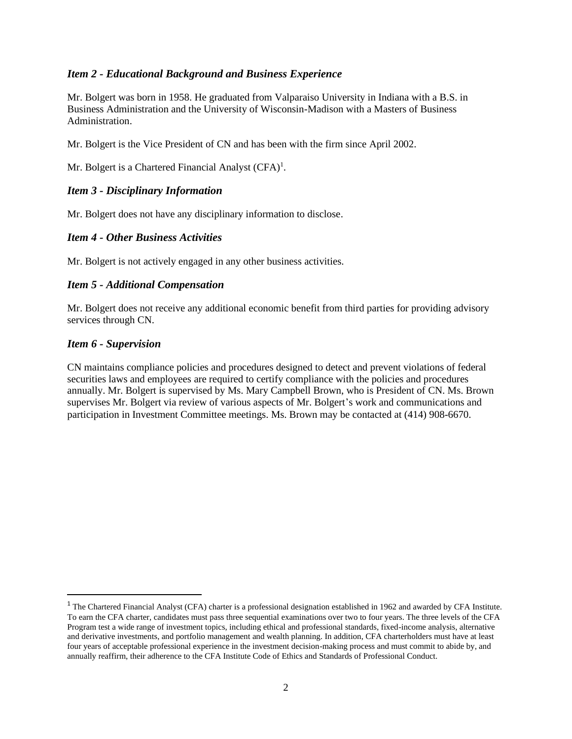Mr. Bolgert was born in 1958. He graduated from Valparaiso University in Indiana with a B.S. in Business Administration and the University of Wisconsin-Madison with a Masters of Business Administration.

Mr. Bolgert is the Vice President of CN and has been with the firm since April 2002.

Mr. Bolgert is a Chartered Financial Analyst (CFA)<sup>1</sup>.

### *Item 3 - Disciplinary Information*

Mr. Bolgert does not have any disciplinary information to disclose.

### *Item 4 - Other Business Activities*

Mr. Bolgert is not actively engaged in any other business activities.

### *Item 5 - Additional Compensation*

Mr. Bolgert does not receive any additional economic benefit from third parties for providing advisory services through CN.

### *Item 6 - Supervision*

CN maintains compliance policies and procedures designed to detect and prevent violations of federal securities laws and employees are required to certify compliance with the policies and procedures annually. Mr. Bolgert is supervised by Ms. Mary Campbell Brown, who is President of CN. Ms. Brown supervises Mr. Bolgert via review of various aspects of Mr. Bolgert's work and communications and participation in Investment Committee meetings. Ms. Brown may be contacted at (414) 908-6670.

<sup>&</sup>lt;sup>1</sup> The Chartered Financial Analyst (CFA) charter is a professional designation established in 1962 and awarded by CFA Institute. To earn the CFA charter, candidates must pass three sequential examinations over two to four years. The three levels of the CFA Program test a wide range of investment topics, including ethical and professional standards, fixed-income analysis, alternative and derivative investments, and portfolio management and wealth planning. In addition, CFA charterholders must have at least four years of acceptable professional experience in the investment decision-making process and must commit to abide by, and annually reaffirm, their adherence to the CFA Institute Code of Ethics and Standards of Professional Conduct.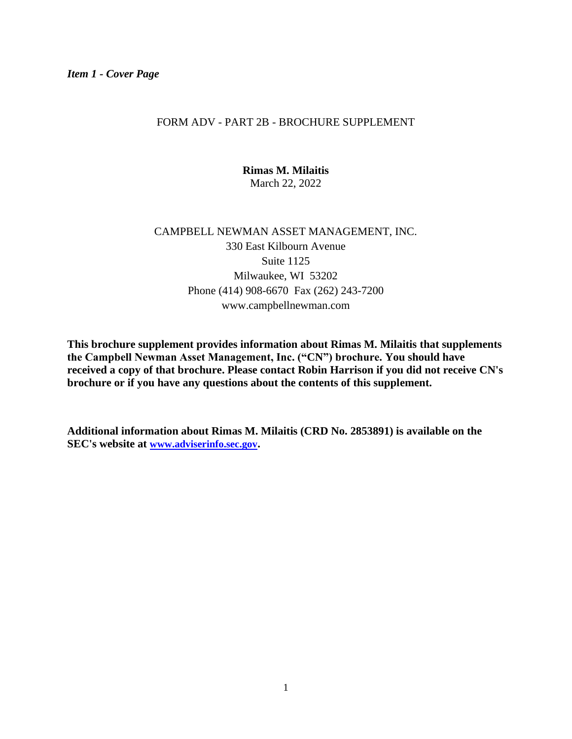### FORM ADV - PART 2B - BROCHURE SUPPLEMENT

**Rimas M. Milaitis** March 22, 2022

# CAMPBELL NEWMAN ASSET MANAGEMENT, INC. 330 East Kilbourn Avenue Suite 1125 Milwaukee, WI 53202 Phone (414) 908-6670 Fax (262) 243-7200 www.campbellnewman.com

**This brochure supplement provides information about Rimas M. Milaitis that supplements the Campbell Newman Asset Management, Inc. ("CN") brochure. You should have received a copy of that brochure. Please contact Robin Harrison if you did not receive CN's brochure or if you have any questions about the contents of this supplement.**

**Additional information about Rimas M. Milaitis (CRD No. 2853891) is available on the SEC's website at [www.adviserinfo.sec.gov](http://www.adviserinfo.sec.gov/).**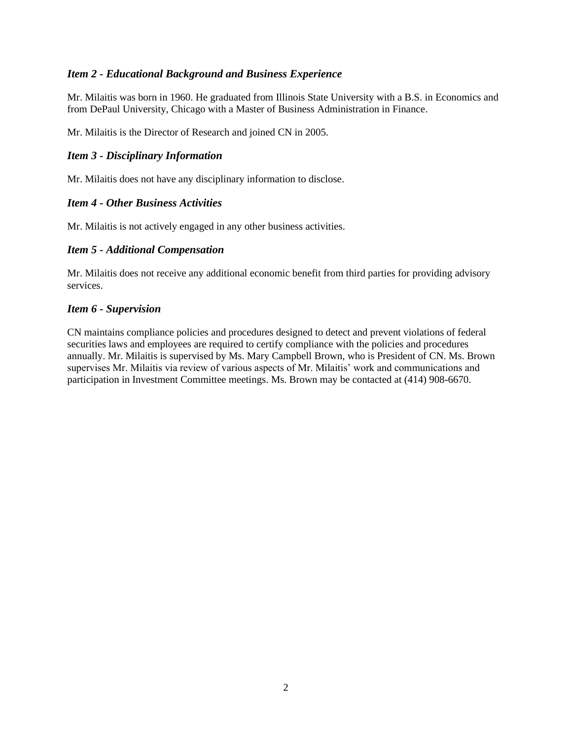Mr. Milaitis was born in 1960. He graduated from Illinois State University with a B.S. in Economics and from DePaul University, Chicago with a Master of Business Administration in Finance.

Mr. Milaitis is the Director of Research and joined CN in 2005.

### *Item 3 - Disciplinary Information*

Mr. Milaitis does not have any disciplinary information to disclose.

### *Item 4 - Other Business Activities*

Mr. Milaitis is not actively engaged in any other business activities.

### *Item 5 - Additional Compensation*

Mr. Milaitis does not receive any additional economic benefit from third parties for providing advisory services.

### *Item 6 - Supervision*

CN maintains compliance policies and procedures designed to detect and prevent violations of federal securities laws and employees are required to certify compliance with the policies and procedures annually. Mr. Milaitis is supervised by Ms. Mary Campbell Brown, who is President of CN. Ms. Brown supervises Mr. Milaitis via review of various aspects of Mr. Milaitis' work and communications and participation in Investment Committee meetings. Ms. Brown may be contacted at (414) 908-6670.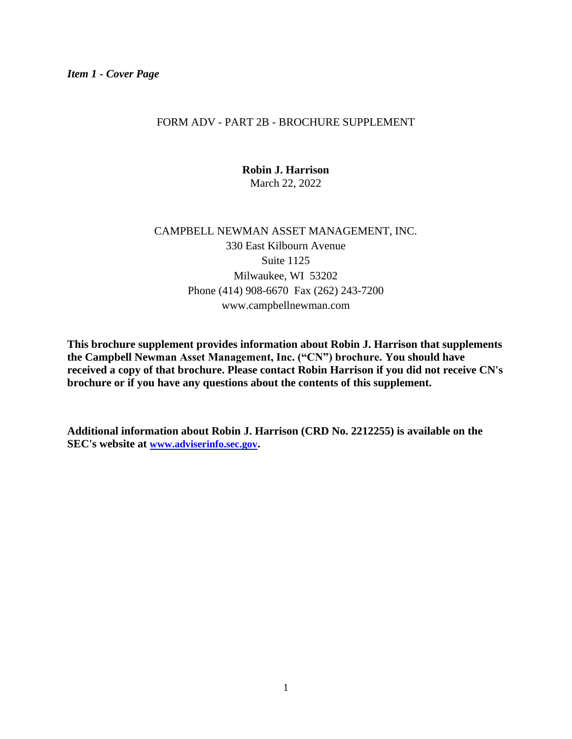### FORM ADV - PART 2B - BROCHURE SUPPLEMENT

**Robin J. Harrison** March 22, 2022

# CAMPBELL NEWMAN ASSET MANAGEMENT, INC. 330 East Kilbourn Avenue Suite 1125 Milwaukee, WI 53202 Phone (414) 908-6670 Fax (262) 243-7200 www.campbellnewman.com

**This brochure supplement provides information about Robin J. Harrison that supplements the Campbell Newman Asset Management, Inc. ("CN") brochure. You should have received a copy of that brochure. Please contact Robin Harrison if you did not receive CN's brochure or if you have any questions about the contents of this supplement.**

**Additional information about Robin J. Harrison (CRD No. 2212255) is available on the SEC's website at [www.adviserinfo.sec.gov](http://www.adviserinfo.sec.gov/).**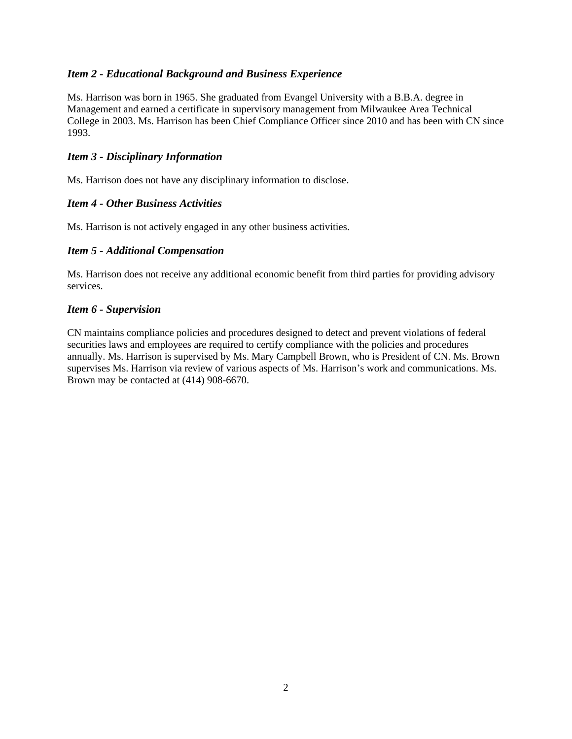Ms. Harrison was born in 1965. She graduated from Evangel University with a B.B.A. degree in Management and earned a certificate in supervisory management from Milwaukee Area Technical College in 2003. Ms. Harrison has been Chief Compliance Officer since 2010 and has been with CN since 1993.

### *Item 3 - Disciplinary Information*

Ms. Harrison does not have any disciplinary information to disclose.

### *Item 4 - Other Business Activities*

Ms. Harrison is not actively engaged in any other business activities.

### *Item 5 - Additional Compensation*

Ms. Harrison does not receive any additional economic benefit from third parties for providing advisory services.

### *Item 6 - Supervision*

CN maintains compliance policies and procedures designed to detect and prevent violations of federal securities laws and employees are required to certify compliance with the policies and procedures annually. Ms. Harrison is supervised by Ms. Mary Campbell Brown, who is President of CN. Ms. Brown supervises Ms. Harrison via review of various aspects of Ms. Harrison's work and communications. Ms. Brown may be contacted at (414) 908-6670.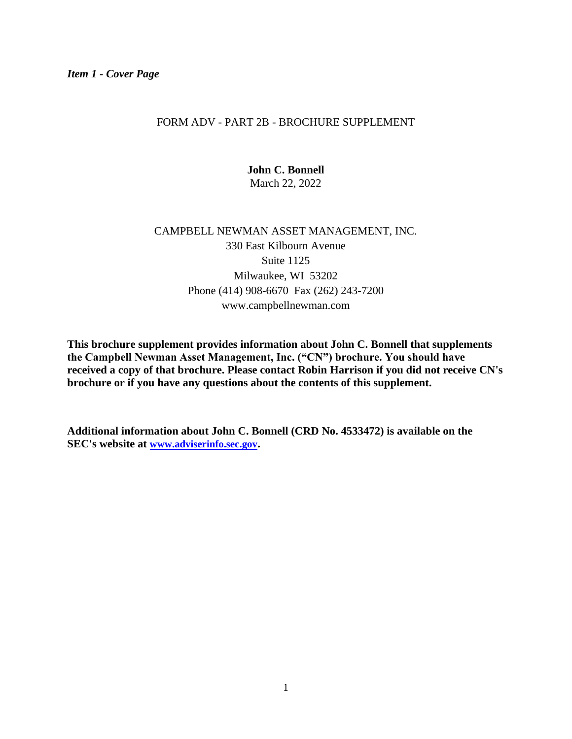### FORM ADV - PART 2B - BROCHURE SUPPLEMENT

**John C. Bonnell** March 22, 2022

# CAMPBELL NEWMAN ASSET MANAGEMENT, INC. 330 East Kilbourn Avenue Suite 1125 Milwaukee, WI 53202 Phone (414) 908-6670 Fax (262) 243-7200 www.campbellnewman.com

**This brochure supplement provides information about John C. Bonnell that supplements the Campbell Newman Asset Management, Inc. ("CN") brochure. You should have received a copy of that brochure. Please contact Robin Harrison if you did not receive CN's brochure or if you have any questions about the contents of this supplement.**

**Additional information about John C. Bonnell (CRD No. 4533472) is available on the SEC's website at [www.adviserinfo.sec.gov](http://www.adviserinfo.sec.gov/).**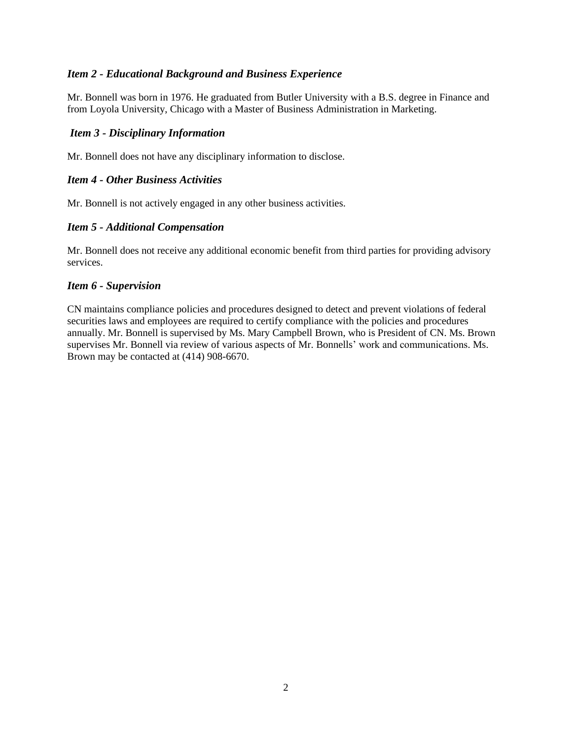Mr. Bonnell was born in 1976. He graduated from Butler University with a B.S. degree in Finance and from Loyola University, Chicago with a Master of Business Administration in Marketing.

### *Item 3 - Disciplinary Information*

Mr. Bonnell does not have any disciplinary information to disclose.

### *Item 4 - Other Business Activities*

Mr. Bonnell is not actively engaged in any other business activities.

### *Item 5 - Additional Compensation*

Mr. Bonnell does not receive any additional economic benefit from third parties for providing advisory services.

### *Item 6 - Supervision*

CN maintains compliance policies and procedures designed to detect and prevent violations of federal securities laws and employees are required to certify compliance with the policies and procedures annually. Mr. Bonnell is supervised by Ms. Mary Campbell Brown, who is President of CN. Ms. Brown supervises Mr. Bonnell via review of various aspects of Mr. Bonnells' work and communications. Ms. Brown may be contacted at (414) 908-6670.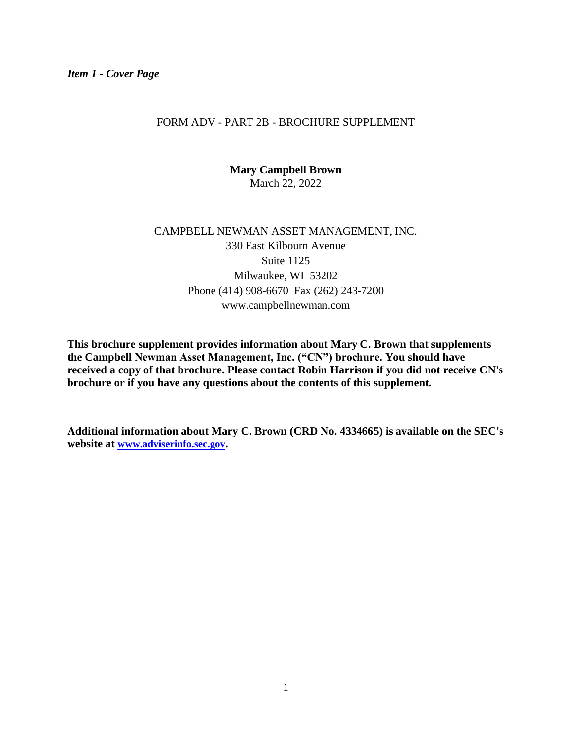### FORM ADV - PART 2B - BROCHURE SUPPLEMENT

**Mary Campbell Brown** March 22, 2022

# CAMPBELL NEWMAN ASSET MANAGEMENT, INC. 330 East Kilbourn Avenue Suite 1125 Milwaukee, WI 53202 Phone (414) 908-6670 Fax (262) 243-7200 www.campbellnewman.com

**This brochure supplement provides information about Mary C. Brown that supplements the Campbell Newman Asset Management, Inc. ("CN") brochure. You should have received a copy of that brochure. Please contact Robin Harrison if you did not receive CN's brochure or if you have any questions about the contents of this supplement.**

**Additional information about Mary C. Brown (CRD No. 4334665) is available on the SEC's website at [www.adviserinfo.sec.gov](http://www.adviserinfo.sec.gov/).**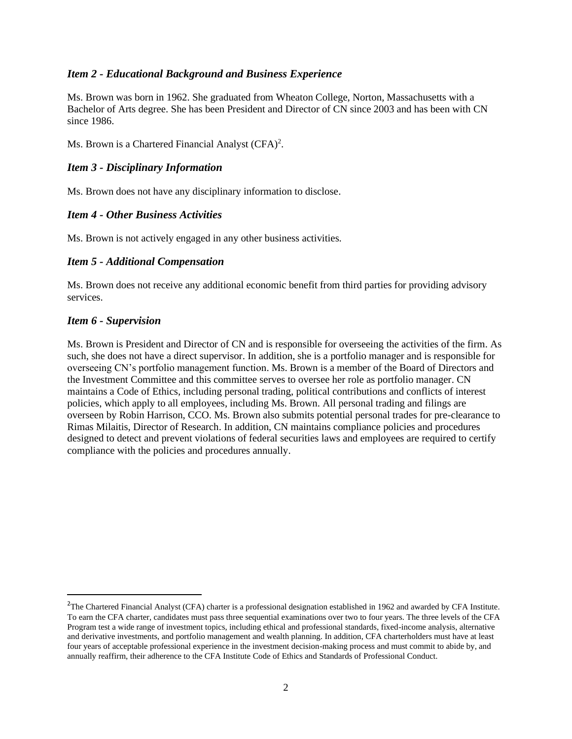Ms. Brown was born in 1962. She graduated from Wheaton College, Norton, Massachusetts with a Bachelor of Arts degree. She has been President and Director of CN since 2003 and has been with CN since 1986.

Ms. Brown is a Chartered Financial Analyst (CFA)<sup>2</sup>.

### *Item 3 - Disciplinary Information*

Ms. Brown does not have any disciplinary information to disclose.

### *Item 4 - Other Business Activities*

Ms. Brown is not actively engaged in any other business activities.

### *Item 5 - Additional Compensation*

Ms. Brown does not receive any additional economic benefit from third parties for providing advisory services.

### *Item 6 - Supervision*

Ms. Brown is President and Director of CN and is responsible for overseeing the activities of the firm. As such, she does not have a direct supervisor. In addition, she is a portfolio manager and is responsible for overseeing CN's portfolio management function. Ms. Brown is a member of the Board of Directors and the Investment Committee and this committee serves to oversee her role as portfolio manager. CN maintains a Code of Ethics, including personal trading, political contributions and conflicts of interest policies, which apply to all employees, including Ms. Brown. All personal trading and filings are overseen by Robin Harrison, CCO. Ms. Brown also submits potential personal trades for pre-clearance to Rimas Milaitis, Director of Research. In addition, CN maintains compliance policies and procedures designed to detect and prevent violations of federal securities laws and employees are required to certify compliance with the policies and procedures annually.

<sup>&</sup>lt;sup>2</sup>The Chartered Financial Analyst (CFA) charter is a professional designation established in 1962 and awarded by CFA Institute. To earn the CFA charter, candidates must pass three sequential examinations over two to four years. The three levels of the CFA Program test a wide range of investment topics, including ethical and professional standards, fixed-income analysis, alternative and derivative investments, and portfolio management and wealth planning. In addition, CFA charterholders must have at least four years of acceptable professional experience in the investment decision-making process and must commit to abide by, and annually reaffirm, their adherence to the CFA Institute Code of Ethics and Standards of Professional Conduct.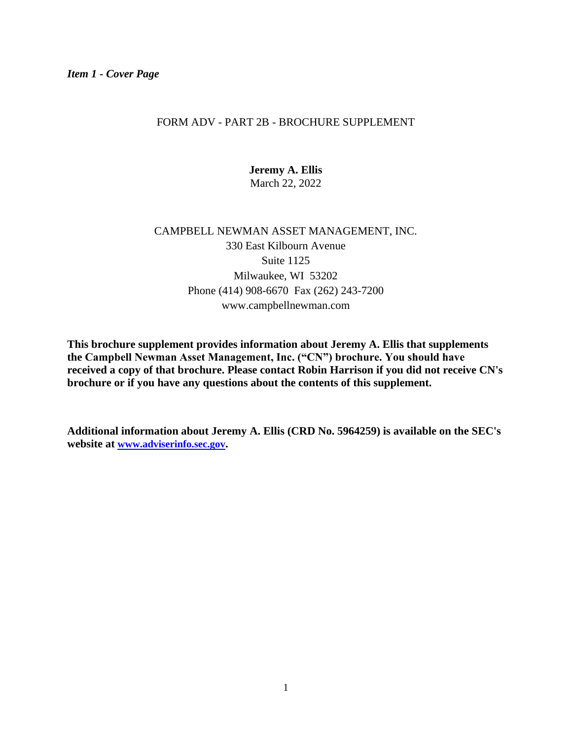### FORM ADV - PART 2B - BROCHURE SUPPLEMENT

**Jeremy A. Ellis** March 22, 2022

# CAMPBELL NEWMAN ASSET MANAGEMENT, INC. 330 East Kilbourn Avenue Suite 1125 Milwaukee, WI 53202 Phone (414) 908-6670 Fax (262) 243-7200 www.campbellnewman.com

**This brochure supplement provides information about Jeremy A. Ellis that supplements the Campbell Newman Asset Management, Inc. ("CN") brochure. You should have received a copy of that brochure. Please contact Robin Harrison if you did not receive CN's brochure or if you have any questions about the contents of this supplement.**

**Additional information about Jeremy A. Ellis (CRD No. 5964259) is available on the SEC's website at [www.adviserinfo.sec.gov](http://www.adviserinfo.sec.gov/).**